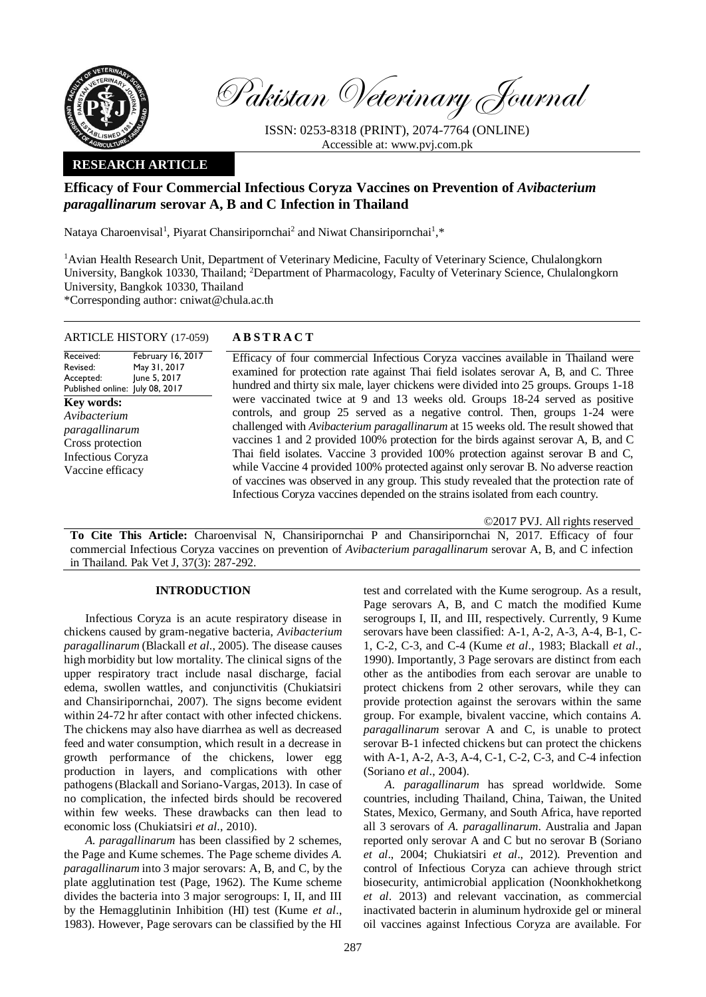

Pakistan Veterinary Journal

ISSN: 0253-8318 (PRINT), 2074-7764 (ONLINE) Accessible at: [www.pvj.com.pk](http://www.pvj.com.pk/)

## **RESEARCH ARTICLE**

# **Efficacy of Four Commercial Infectious Coryza Vaccines on Prevention of** *Avibacterium paragallinarum* **serovar A, B and C Infection in Thailand**

Nataya Charoenvisal<sup>1</sup>, Piyarat Chansiripornchai<sup>2</sup> and Niwat Chansiripornchai<sup>1</sup>,\*

<sup>1</sup>Avian Health Research Unit, Department of Veterinary Medicine, Faculty of Veterinary Science, Chulalongkorn University, Bangkok 10330, Thailand; <sup>2</sup>Department of Pharmacology, Faculty of Veterinary Science, Chulalongkorn University, Bangkok 10330, Thailand

\*Corresponding author: cniwat@chula.ac.th

## ARTICLE HISTORY (17-059) **A B S T R A C T**

Received: Revised: Accepted: Published online: July 08, 2017 February 16, 2017 May 31, 2017 June 5, 2017 **Key words:**  *Avibacterium paragallinarum* Cross protection Infectious Coryza Vaccine efficacy

Efficacy of four commercial Infectious Coryza vaccines available in Thailand were examined for protection rate against Thai field isolates serovar A, B, and C. Three hundred and thirty six male, layer chickens were divided into 25 groups. Groups 1-18 were vaccinated twice at 9 and 13 weeks old. Groups 18-24 served as positive controls, and group 25 served as a negative control. Then, groups 1-24 were challenged with *Avibacterium paragallinarum* at 15 weeks old. The result showed that vaccines 1 and 2 provided 100% protection for the birds against serovar A, B, and C Thai field isolates. Vaccine 3 provided 100% protection against serovar B and C, while Vaccine 4 provided 100% protected against only serovar B. No adverse reaction of vaccines was observed in any group. This study revealed that the protection rate of Infectious Coryza vaccines depended on the strains isolated from each country.

©2017 PVJ. All rights reserved

**To Cite This Article:** Charoenvisal N, Chansiripornchai P and Chansiripornchai N, 2017. Efficacy of four commercial Infectious Coryza vaccines on prevention of *Avibacterium paragallinarum* serovar A, B, and C infection in Thailand. Pak Vet J, 37(3): 287-292.

## **INTRODUCTION**

Infectious Coryza is an acute respiratory disease in chickens caused by gram-negative bacteria, *Avibacterium paragallinarum* (Blackall *et al*., 2005). The disease causes high morbidity but low mortality. The clinical signs of the upper respiratory tract include nasal discharge, facial edema, swollen wattles, and conjunctivitis (Chukiatsiri and Chansiripornchai, 2007). The signs become evident within 24-72 hr after contact with other infected chickens. The chickens may also have diarrhea as well as decreased feed and water consumption, which result in a decrease in growth performance of the chickens, lower egg production in layers, and complications with other pathogens (Blackall and Soriano-Vargas, 2013). In case of no complication, the infected birds should be recovered within few weeks. These drawbacks can then lead to economic loss (Chukiatsiri *et al*., 2010).

*A. paragallinarum* has been classified by 2 schemes, the Page and Kume schemes. The Page scheme divides *A. paragallinarum* into 3 major serovars: A, B, and C, by the plate agglutination test (Page, 1962). The Kume scheme divides the bacteria into 3 major serogroups: I, II, and III by the Hemagglutinin Inhibition (HI) test (Kume *et al*., 1983). However, Page serovars can be classified by the HI

test and correlated with the Kume serogroup. As a result, Page serovars A, B, and C match the modified Kume serogroups I, II, and III, respectively. Currently, 9 Kume serovars have been classified: A-1, A-2, A-3, A-4, B-1, C-1, C-2, C-3, and C-4 (Kume *et al*., 1983; Blackall *et al*., 1990). Importantly, 3 Page serovars are distinct from each other as the antibodies from each serovar are unable to protect chickens from 2 other serovars, while they can provide protection against the serovars within the same group. For example, bivalent vaccine, which contains *A. paragallinarum* serovar A and C, is unable to protect serovar B-1 infected chickens but can protect the chickens with A-1, A-2, A-3, A-4, C-1, C-2, C-3, and C-4 infection (Soriano *et al*., 2004).

*A. paragallinarum* has spread worldwide. Some countries, including Thailand, China, Taiwan, the United States, Mexico, Germany, and South Africa, have reported all 3 serovars of *A. paragallinarum*. Australia and Japan reported only serovar A and C but no serovar B (Soriano *et al*., 2004; Chukiatsiri *et al*., 2012). Prevention and control of Infectious Coryza can achieve through strict biosecurity, antimicrobial application (Noonkhokhetkong *et al*. 2013) and relevant vaccination, as commercial inactivated bacterin in aluminum hydroxide gel or mineral oil vaccines against Infectious Coryza are available. For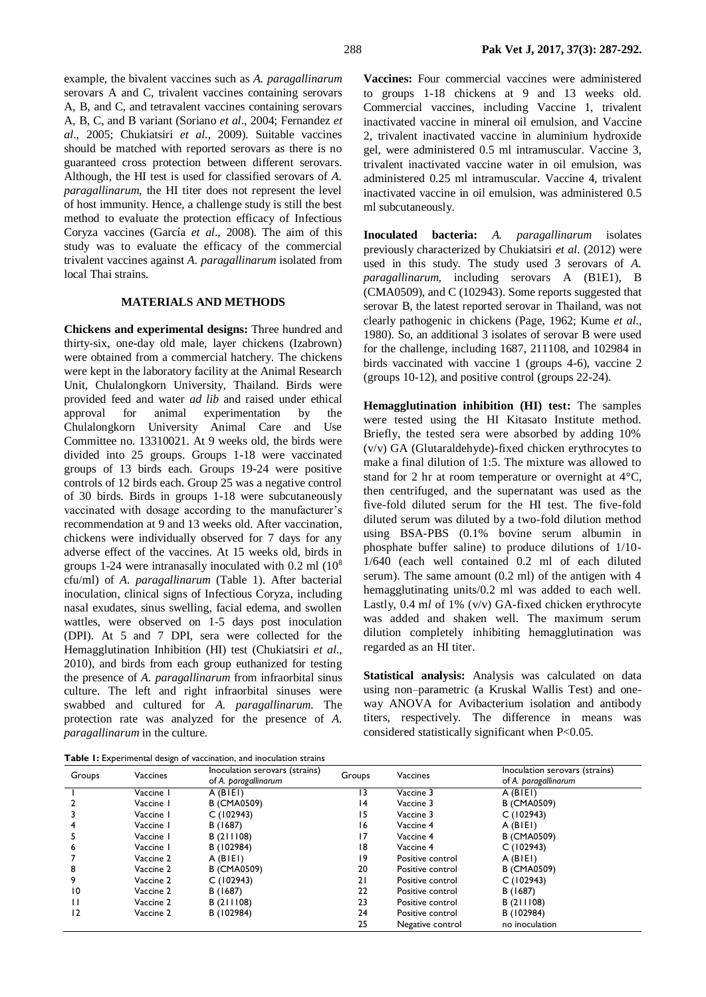example, the bivalent vaccines such as *A. paragallinarum* serovars A and C, trivalent vaccines containing serovars A, B, and C, and tetravalent vaccines containing serovars A, B, C, and B variant (Soriano *et al*., 2004; Fernandez *et al*., 2005; Chukiatsiri *et al*., 2009). Suitable vaccines should be matched with reported serovars as there is no guaranteed cross protection between different serovars. Although, the HI test is used for classified serovars of *A. paragallinarum*, the HI titer does not represent the level of host immunity. Hence, a challenge study is still the best method to evaluate the protection efficacy of Infectious Coryza vaccines (García *et al*., 2008). The aim of this study was to evaluate the efficacy of the commercial trivalent vaccines against *A. paragallinarum* isolated from local Thai strains.

### **MATERIALS AND METHODS**

**Chickens and experimental designs:** Three hundred and thirty-six, one-day old male, layer chickens (Izabrown) were obtained from a commercial hatchery. The chickens were kept in the laboratory facility at the Animal Research Unit, Chulalongkorn University, Thailand. Birds were provided feed and water *ad lib* and raised under ethical approval for animal experimentation by the Chulalongkorn University Animal Care and Use Committee no. 13310021. At 9 weeks old, the birds were divided into 25 groups. Groups 1-18 were vaccinated groups of 13 birds each. Groups 19-24 were positive controls of 12 birds each. Group 25 was a negative control of 30 birds. Birds in groups 1-18 were subcutaneously vaccinated with dosage according to the manufacturer's recommendation at 9 and 13 weeks old. After vaccination, chickens were individually observed for 7 days for any adverse effect of the vaccines. At 15 weeks old, birds in groups 1-24 were intranasally inoculated with 0.2 ml (10<sup>8</sup> cfu/ml) of *A. paragallinarum* (Table 1). After bacterial inoculation, clinical signs of Infectious Coryza, including nasal exudates, sinus swelling, facial edema, and swollen wattles, were observed on 1-5 days post inoculation (DPI). At 5 and 7 DPI, sera were collected for the Hemagglutination Inhibition (HI) test (Chukiatsiri *et al*., 2010), and birds from each group euthanized for testing the presence of *A. paragallinarum* from infraorbital sinus culture. The left and right infraorbital sinuses were swabbed and cultured for *A. paragallinarum.* The protection rate was analyzed for the presence of *A. paragallinarum* in the culture.

|  |  | Table 1: Experimental design of vaccination, and inoculation strains |  |  |  |  |  |  |
|--|--|----------------------------------------------------------------------|--|--|--|--|--|--|
|--|--|----------------------------------------------------------------------|--|--|--|--|--|--|

**Vaccines:** Four commercial vaccines were administered to groups 1-18 chickens at 9 and 13 weeks old. Commercial vaccines, including Vaccine 1, trivalent inactivated vaccine in mineral oil emulsion, and Vaccine 2, trivalent inactivated vaccine in aluminium hydroxide gel, were administered 0.5 ml intramuscular. Vaccine 3, trivalent inactivated vaccine water in oil emulsion, was administered 0.25 ml intramuscular. Vaccine 4, trivalent inactivated vaccine in oil emulsion, was administered 0.5 ml subcutaneously.

**Inoculated bacteria:** *A. paragallinarum* isolates previously characterized by Chukiatsiri *et al*. (2012) were used in this study. The study used 3 serovars of *A. paragallinarum,* including serovars A (B1E1), B (CMA0509), and C (102943). Some reports suggested that serovar B, the latest reported serovar in Thailand, was not clearly pathogenic in chickens (Page, 1962; Kume *et al*., 1980). So, an additional 3 isolates of serovar B were used for the challenge, including 1687, 211108, and 102984 in birds vaccinated with vaccine 1 (groups 4-6), vaccine 2 (groups 10-12), and positive control (groups 22-24).

**Hemagglutination inhibition (HI) test:** The samples were tested using the HI Kitasato Institute method. Briefly, the tested sera were absorbed by adding 10% (v/v) GA (Glutaraldehyde)-fixed chicken erythrocytes to make a final dilution of 1:5. The mixture was allowed to stand for 2 hr at room temperature or overnight at 4°C, then centrifuged, and the supernatant was used as the five-fold diluted serum for the HI test. The five-fold diluted serum was diluted by a two-fold dilution method using BSA-PBS (0.1% bovine serum albumin in phosphate buffer saline) to produce dilutions of 1/10- 1/640 (each well contained 0.2 ml of each diluted serum). The same amount (0.2 ml) of the antigen with 4 hemagglutinating units/0.2 ml was added to each well. Lastly, 0.4 m*l* of 1% (v/v) GA-fixed chicken erythrocyte was added and shaken well. The maximum serum dilution completely inhibiting hemagglutination was regarded as an HI titer.

**Statistical analysis:** Analysis was calculated on data using non–parametric (a Kruskal Wallis Test) and oneway ANOVA for Avibacterium isolation and antibody titers, respectively. The difference in means was considered statistically significant when P<0.05.

| Groups | Vaccines  | Inoculation serovars (strains)<br>of A. paragallinarum | Groups | Vaccines         | Inoculation serovars (strains)<br>of A. paragallinarum |  |
|--------|-----------|--------------------------------------------------------|--------|------------------|--------------------------------------------------------|--|
|        | Vaccine I | $A$ (BIEI)                                             | 13     | Vaccine 3        | $A$ (BIEI)                                             |  |
|        | Vaccine 1 | <b>B</b> (CMA0509)                                     | 14     | Vaccine 3        | <b>B</b> (CMA0509)                                     |  |
|        | Vaccine 1 | C(102943)                                              | 15     | Vaccine 3        | C(102943)                                              |  |
| 4      | Vaccine 1 | B (1687)                                               | 16     | Vaccine 4        | $A$ (BIEI)                                             |  |
|        | Vaccine 1 | B (211108)                                             | 17     | Vaccine 4        | <b>B</b> (CMA0509)                                     |  |
| 6      | Vaccine 1 | B (102984)                                             | 18     | Vaccine 4        | C(102943)                                              |  |
|        | Vaccine 2 | $A$ (BIEI)                                             | 19     | Positive control | $A$ (BIEI)                                             |  |
| 8      | Vaccine 2 | <b>B</b> (CMA0509)                                     | 20     | Positive control | <b>B</b> (CMA0509)                                     |  |
| 9      | Vaccine 2 | C(102943)                                              | 21     | Positive control | C(102943)                                              |  |
| 10     | Vaccine 2 | B (1687)                                               | 22     | Positive control | B (1687)                                               |  |
|        | Vaccine 2 | B(211108)                                              | 23     | Positive control | B(211108)                                              |  |
| 12     | Vaccine 2 | B (102984)                                             | 24     | Positive control | B (102984)                                             |  |
|        |           |                                                        | 25     | Negative control | no inoculation                                         |  |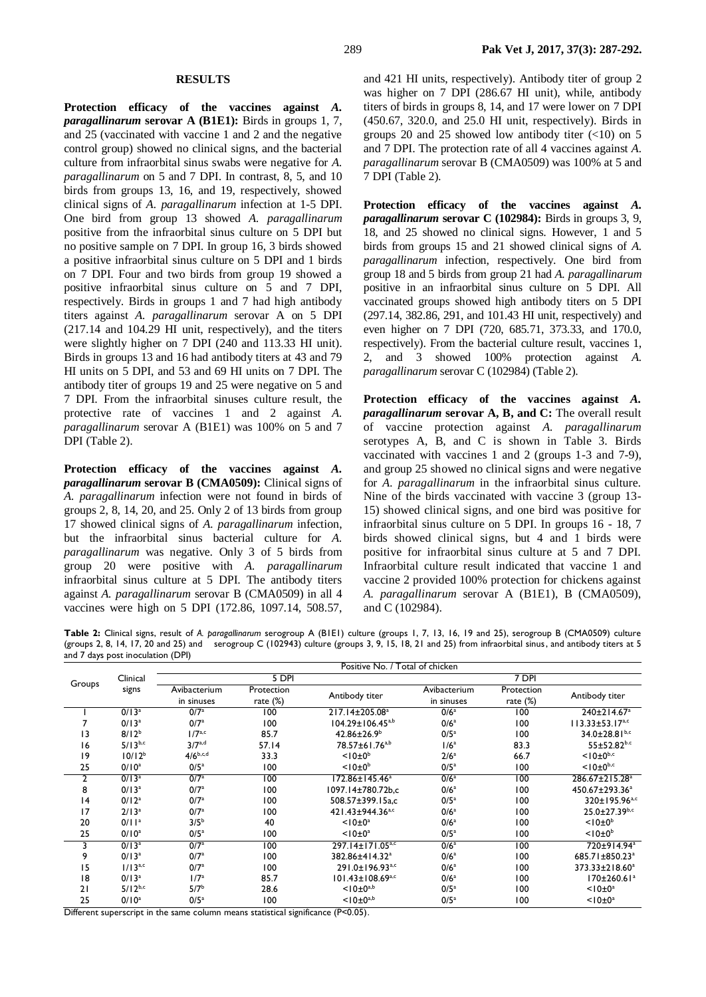#### **RESULTS**

**Protection efficacy of the vaccines against** *A. paragallinarum* **serovar A (B1E1):** Birds in groups 1, 7, and 25 (vaccinated with vaccine 1 and 2 and the negative control group) showed no clinical signs, and the bacterial culture from infraorbital sinus swabs were negative for *A. paragallinarum* on 5 and 7 DPI. In contrast, 8, 5, and 10 birds from groups 13, 16, and 19, respectively, showed clinical signs of *A. paragallinarum* infection at 1-5 DPI. One bird from group 13 showed *A. paragallinarum*  positive from the infraorbital sinus culture on 5 DPI but no positive sample on 7 DPI. In group 16, 3 birds showed a positive infraorbital sinus culture on 5 DPI and 1 birds on 7 DPI. Four and two birds from group 19 showed a positive infraorbital sinus culture on 5 and 7 DPI, respectively. Birds in groups 1 and 7 had high antibody titers against *A. paragallinarum* serovar A on 5 DPI (217.14 and 104.29 HI unit, respectively), and the titers were slightly higher on 7 DPI (240 and 113.33 HI unit). Birds in groups 13 and 16 had antibody titers at 43 and 79 HI units on 5 DPI, and 53 and 69 HI units on 7 DPI. The antibody titer of groups 19 and 25 were negative on 5 and 7 DPI. From the infraorbital sinuses culture result, the protective rate of vaccines 1 and 2 against *A. paragallinarum* serovar A (B1E1) was 100% on 5 and 7 DPI (Table 2).

**Protection efficacy of the vaccines against** *A. paragallinarum* **serovar B (CMA0509):** Clinical signs of *A. paragallinarum* infection were not found in birds of groups 2, 8, 14, 20, and 25. Only 2 of 13 birds from group 17 showed clinical signs of *A. paragallinarum* infection, but the infraorbital sinus bacterial culture for *A. paragallinarum* was negative. Only 3 of 5 birds from group 20 were positive with *A. paragallinarum*  infraorbital sinus culture at 5 DPI. The antibody titers against *A. paragallinarum* serovar B (CMA0509) in all 4 vaccines were high on 5 DPI (172.86, 1097.14, 508.57,

and 421 HI units, respectively). Antibody titer of group 2 was higher on 7 DPI (286.67 HI unit), while, antibody titers of birds in groups 8, 14, and 17 were lower on 7 DPI (450.67, 320.0, and 25.0 HI unit, respectively). Birds in groups 20 and 25 showed low antibody titer  $\left( \langle 10 \rangle \right)$  on 5 and 7 DPI. The protection rate of all 4 vaccines against *A. paragallinarum* serovar B (CMA0509) was 100% at 5 and 7 DPI (Table 2).

**Protection efficacy of the vaccines against** *A. paragallinarum* **serovar C (102984):** Birds in groups 3, 9, 18, and 25 showed no clinical signs. However, 1 and 5 birds from groups 15 and 21 showed clinical signs of *A. paragallinarum* infection, respectively. One bird from group 18 and 5 birds from group 21 had *A. paragallinarum* positive in an infraorbital sinus culture on 5 DPI. All vaccinated groups showed high antibody titers on 5 DPI (297.14, 382.86, 291, and 101.43 HI unit, respectively) and even higher on 7 DPI (720, 685.71, 373.33, and 170.0, respectively). From the bacterial culture result, vaccines 1, 2, and 3 showed 100% protection against *A. paragallinarum* serovar C (102984) (Table 2).

**Protection efficacy of the vaccines against** *A. paragallinarum* **serovar A, B, and C:** The overall result of vaccine protection against *A. paragallinarum* serotypes A, B, and C is shown in Table 3. Birds vaccinated with vaccines 1 and 2 (groups 1-3 and 7-9), and group 25 showed no clinical signs and were negative for *A. paragallinarum* in the infraorbital sinus culture. Nine of the birds vaccinated with vaccine 3 (group 13- 15) showed clinical signs, and one bird was positive for infraorbital sinus culture on 5 DPI. In groups 16 - 18, 7 birds showed clinical signs, but 4 and 1 birds were positive for infraorbital sinus culture at 5 and 7 DPI. Infraorbital culture result indicated that vaccine 1 and vaccine 2 provided 100% protection for chickens against *A. paragallinarum* serovar A (B1E1), B (CMA0509), and C (102984).

**Table 2:** Clinical signs, result of *A. paragallinarum* serogroup A (B1E1) culture (groups 1, 7, 13, 16, 19 and 25), serogroup B (CMA0509) culture (groups 2, 8, 14, 17, 20 and 25) and serogroup C (102943) culture (groups 3, 9, 15, 18, 21 and 25) from infraorbital sinus, and antibody titers at 5 and 7 days post inoculation (DPI)

|        |                   | Positive No. / Total of chicken |                  |                                  |                  |             |                                 |
|--------|-------------------|---------------------------------|------------------|----------------------------------|------------------|-------------|---------------------------------|
| Groups | Clinical          | 5 DPI                           |                  |                                  | 7 DPI            |             |                                 |
|        | signs             | Avibacterium                    | Protection       | Antibody titer                   | Avibacterium     | Protection  | Antibody titer                  |
|        |                   | in sinuses                      | rate $(\%)$      |                                  | in sinuses       | rate $(\%)$ |                                 |
|        | $0/13^{a}$        | 0/7 <sup>a</sup>                | $\overline{100}$ | 217.14±205.08 <sup>a</sup>       | 0/6 <sup>a</sup> | 100         | $240 \pm 214.67$ <sup>a</sup>   |
|        | $0/13^a$          | 0/7 <sup>a</sup>                | 100              | $104.29 \pm 106.45^{a,b}$        | 0/6 <sup>a</sup> | 100         | $113.33 \pm 53.17^{a,c}$        |
| 13     | $8/12^{b}$        | 1/7 <sup>a,c</sup>              | 85.7             | $42.86 \pm 26.9^b$               | 0/5 <sup>a</sup> | 100         | $34.0 \pm 28.81$ <sub>b,c</sub> |
| 16     | $5/13^{b,c}$      | $3/7^{a,d}$                     | 57.14            | 78.57±61.76 <sup>a,b</sup>       | 1/6 <sup>a</sup> | 83.3        | $55 + 52.82$ <sub>b.c</sub>     |
| 19     | $10/12^{b}$       | $4/6^{b,c,d}$                   | 33.3             | $< 10 \pm 0^b$                   | 2/6 <sup>a</sup> | 66.7        | $<$ 10 $\pm$ 0 <sup>b,c</sup>   |
| 25     | $0/10^a$          | 0/5 <sup>a</sup>                | 100              | $< 10 \pm 0^b$                   | 0/5 <sup>a</sup> | 100         | $<$   0 $\pm$ 0 <sup>b,c</sup>  |
| 2      | $0/13^{a}$        | 0/7 <sup>a</sup>                | 100              | 172.86±145.46 <sup>a</sup>       | 0/6 <sup>a</sup> | 100         | 286.67±215.28 <sup>a</sup>      |
| 8      | $0/13^a$          | 0/7 <sup>a</sup>                | 100              | 1097.14±780.72b.c                | 0/6 <sup>a</sup> | 100         | 450.67±293.36 <sup>a</sup>      |
| 4      | $0/12^a$          | 0/7 <sup>a</sup>                | 100              | 508.57±399.15a,c                 | 0/5 <sup>a</sup> | 100         | 320±195.96 <sup>a,c</sup>       |
| 17     | 2/13 <sup>a</sup> | 0/7 <sup>a</sup>                | 100              | 421.43±944.36 <sup>a,c</sup>     | 0/6 <sup>a</sup> | 100         | $25.0 \pm 27.39^{b,c}$          |
| 20     | 0/11 <sup>a</sup> | 3/5 <sup>b</sup>                | 40               | $<$ 10 $\pm$ 0 <sup>a</sup>      | 0/6 <sup>a</sup> | 100         | $<$ 10 $\pm$ 0 <sup>b</sup>     |
| 25     | $0/10^a$          | 0/5 <sup>a</sup>                | 100              | $<$   0 $\pm$ 0 <sup>a</sup>     | 0/5 <sup>a</sup> | 100         | $< 10 \pm 0^b$                  |
| 3      | $0/13^{a}$        | 0/7 <sup>a</sup>                | 100              | 297.14±171.05 <sup>a,c</sup>     | 0/6 <sup>a</sup> | 100         | 720±914.94 <sup>a</sup>         |
| 9      | $0/13^a$          | 0/7 <sup>a</sup>                | 100              | 382.86±414.32 <sup>a</sup>       | 0/6 <sup>a</sup> | 100         | 685.71±850.23 <sup>a</sup>      |
| 15     | $1/13^{a,c}$      | 0/7 <sup>a</sup>                | 100              | 291.0±196.93 <sup>a,c</sup>      | 0/6 <sup>a</sup> | 100         | 373.33±218.60 <sup>a</sup>      |
| 8      | $0/13^a$          | 1/7 <sup>a</sup>                | 85.7             | $101.43 \pm 108.69^{\text{a,c}}$ | 0/6 <sup>a</sup> | 100         | $170 \pm 260.61$ <sup>a</sup>   |
| 21     | $5/12^{b,c}$      | 5/7 <sup>b</sup>                | 28.6             | $< 10 \pm 0^{a,b}$               | 0/5 <sup>a</sup> | 100         | $< 10 \pm 0^a$                  |
| 25     | $0/10^a$          | 0/5 <sup>a</sup>                | 100              | $< 10 \pm 0^{a,b}$               | 0/5 <sup>a</sup> | 100         | $<$ 10 $\pm$ 0 <sup>a</sup>     |

Different superscript in the same column means statistical significance (P<0.05).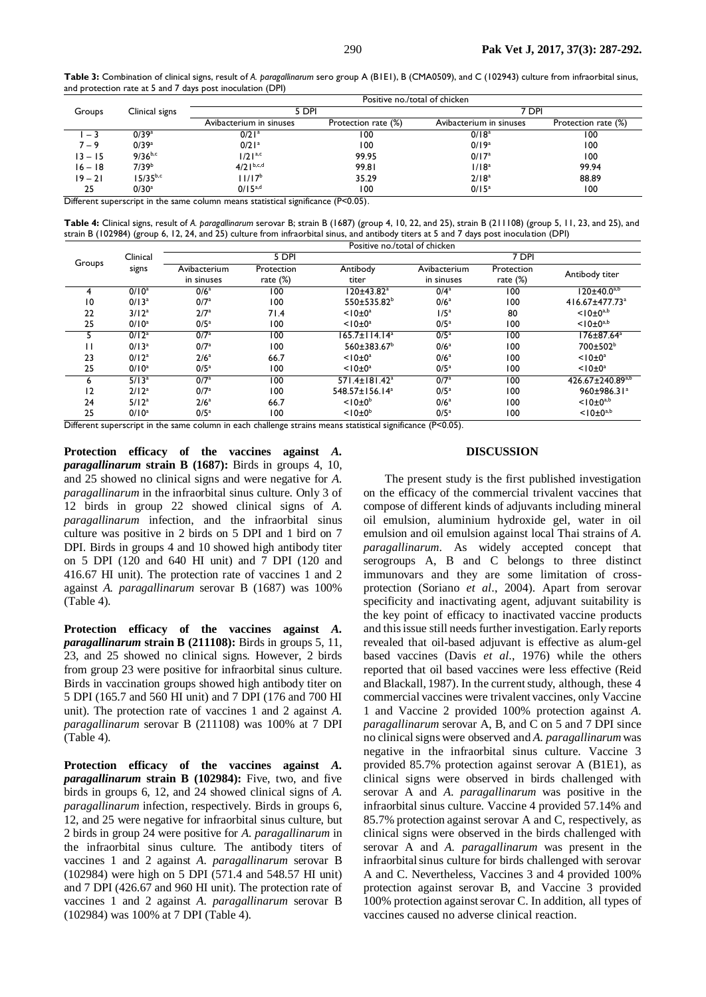**Table 3:** Combination of clinical signs, result of *A. paragallinarum* sero group A (B1E1), B (CMA0509), and C (102943) culture from infraorbital sinus, and protection rate at 5 and 7 days post inoculation (DPI)

|           |                   | Positive no./total of chicken |                     |                         |                     |  |  |
|-----------|-------------------|-------------------------------|---------------------|-------------------------|---------------------|--|--|
| Groups    | Clinical signs    | 5 DPI                         |                     | 7 DPI                   |                     |  |  |
|           |                   | Avibacterium in sinuses       | Protection rate (%) | Avibacterium in sinuses | Protection rate (%) |  |  |
| $-3$      | 0/39a             | $0/21$ <sup>a</sup>           | 100                 | 0/18 <sup>a</sup>       | 100                 |  |  |
| $7 - 9$   | 0/39a             | $0/21$ <sup>a</sup>           | 100                 | $0/19^{a}$              | 100                 |  |  |
| $13 - 15$ | $9/36^{b,c}$      | $1/21^{a,c}$                  | 99.95               | 0/17 <sup>a</sup>       | 100                 |  |  |
| $16 - 18$ | 7/39 <sup>b</sup> | $4/21^{b,c,d}$                | 99.81               | 1/18 <sup>a</sup>       | 99.94               |  |  |
| $19 - 21$ | $15/35^{b,c}$     | $11/17^{b}$                   | 35.29               | 2/18 <sup>a</sup>       | 88.89               |  |  |
| 25        | $0/30^a$          | $0/15^{a,d}$                  | 100                 | $0/15^a$                | 100                 |  |  |

Different superscript in the same column means statistical significance (P<0.05).

**Table 4:** Clinical signs, result of *A. paragallinarum* serovar B; strain B (1687) (group 4, 10, 22, and 25), strain B (211108) (group 5, 11, 23, and 25), and strain B (102984) (group 6, 12, 24, and 25) culture from infraorbital sinus, and antibody titers at 5 and 7 days post inoculation (DPI) Positive no./total of chicken

|        | Clinical          | 5 DPI                      |                           |                             | 7 DPI                      |                           |                              |  |
|--------|-------------------|----------------------------|---------------------------|-----------------------------|----------------------------|---------------------------|------------------------------|--|
| Groups | signs             | Avibacterium<br>in sinuses | Protection<br>rate $(\%)$ | Antibody<br>titer           | Avibacterium<br>in sinuses | Protection<br>rate $(\%)$ | Antibody titer               |  |
|        | $0/10^a$          | 0/6 <sup>a</sup>           | 100                       | 120±43.82ª                  | 0/4 <sup>a</sup>           | 100                       | l 20±40.0a,b                 |  |
| 10     | $0/13^a$          | 0/7 <sup>a</sup>           | 100                       | $550 \pm 535.82^b$          | 0/6 <sup>a</sup>           | 100                       | 416.67±477.73 <sup>a</sup>   |  |
| 22     | 3/12 <sup>a</sup> | $2/7^a$                    | 71.4                      | $< 10 \pm 0^a$              | $1/5^a$                    | 80                        | $< 10 \pm 0^{a,b}$           |  |
| 25     | $0/10^a$          | 0/5 <sup>a</sup>           | 100                       | $< 10 \pm 0^a$              | 0/5 <sup>a</sup>           | 100                       | $< 10 \pm 0^{a,b}$           |  |
|        | $0/12^a$          | 0/7a                       | 100                       | $165.7 \pm 114.14^a$        | 0/5 <sup>a</sup>           | 100                       | 176±87.64 <sup>a</sup>       |  |
| Н      | $0/13^a$          | 0/7a                       | 100                       | $560 \pm 383.67^b$          | 0/6 <sup>a</sup>           | 100                       | $700 \pm 502^b$              |  |
| 23     | $0/12^a$          | 2/6 <sup>a</sup>           | 66.7                      | $< 10 \pm 0^a$              | 0/6 <sup>a</sup>           | 100                       | $<$ 10 $\pm$ 0 <sup>a</sup>  |  |
| 25     | $0/10^a$          | 0/5 <sup>a</sup>           | 100                       | $< 10 \pm 0^a$              | 0/5 <sup>a</sup>           | 100                       | $<$   0 $\pm$ 0 <sup>a</sup> |  |
| ь      | 5/13 <sup>a</sup> | 0/7a                       | 100                       | 571.4±181.42 <sup>a</sup>   | 0/7 <sup>a</sup>           | 100                       | $426.67 \pm 240.89^{a,b}$    |  |
| 12     | $2/12^{a}$        | 0/7 <sup>a</sup>           | 100                       | 548.57±156.14 <sup>a</sup>  | 0/5 <sup>a</sup>           | 100                       | 960±986.31ª                  |  |
| 24     | 5/12 <sup>a</sup> | 2/6 <sup>a</sup>           | 66.7                      | $<$ 10 $\pm$ 0 <sup>b</sup> | 0/6 <sup>a</sup>           | 100                       | $< 10 \pm 0^{a,b}$           |  |
| 25     | $0/10^a$          | 0/5 <sup>a</sup>           | 100                       | $<$ 10 $\pm$ 0 <sup>b</sup> | 0/5 <sup>a</sup>           | 100                       | $< 10 \pm 0^{a,b}$           |  |

Different superscript in the same column in each challenge strains means statistical significance (P<0.05).

**Protection efficacy of the vaccines against** *A. paragallinarum* **strain B (1687):** Birds in groups 4, 10, and 25 showed no clinical signs and were negative for *A. paragallinarum* in the infraorbital sinus culture. Only 3 of 12 birds in group 22 showed clinical signs of *A. paragallinarum* infection, and the infraorbital sinus culture was positive in 2 birds on 5 DPI and 1 bird on 7 DPI. Birds in groups 4 and 10 showed high antibody titer on 5 DPI (120 and 640 HI unit) and 7 DPI (120 and 416.67 HI unit). The protection rate of vaccines 1 and 2 against *A. paragallinarum* serovar B (1687) was 100% (Table 4).

**Protection efficacy of the vaccines against** *A. paragallinarum* **strain B (211108):** Birds in groups 5, 11, 23, and 25 showed no clinical signs. However, 2 birds from group 23 were positive for infraorbital sinus culture. Birds in vaccination groups showed high antibody titer on 5 DPI (165.7 and 560 HI unit) and 7 DPI (176 and 700 HI unit). The protection rate of vaccines 1 and 2 against *A. paragallinarum* serovar B (211108) was 100% at 7 DPI (Table 4).

**Protection efficacy of the vaccines against** *A. paragallinarum* **strain B (102984):** Five, two, and five birds in groups 6, 12, and 24 showed clinical signs of *A. paragallinarum* infection, respectively. Birds in groups 6, 12, and 25 were negative for infraorbital sinus culture, but 2 birds in group 24 were positive for *A. paragallinarum* in the infraorbital sinus culture. The antibody titers of vaccines 1 and 2 against *A. paragallinarum* serovar B (102984) were high on 5 DPI (571.4 and 548.57 HI unit) and 7 DPI (426.67 and 960 HI unit). The protection rate of vaccines 1 and 2 against *A. paragallinarum* serovar B (102984) was 100% at 7 DPI (Table 4).

## **DISCUSSION**

The present study is the first published investigation on the efficacy of the commercial trivalent vaccines that compose of different kinds of adjuvants including mineral oil emulsion, aluminium hydroxide gel, water in oil emulsion and oil emulsion against local Thai strains of *A. paragallinarum*. As widely accepted concept that serogroups A, B and C belongs to three distinct immunovars and they are some limitation of crossprotection (Soriano *et al*., 2004). Apart from serovar specificity and inactivating agent, adjuvant suitability is the key point of efficacy to inactivated vaccine products and this issue still needs further investigation. Early reports revealed that oil-based adjuvant is effective as alum-gel based vaccines (Davis *et al*., 1976) while the others reported that oil based vaccines were less effective (Reid and Blackall, 1987). In the current study, although, these 4 commercial vaccines were trivalent vaccines, only Vaccine 1 and Vaccine 2 provided 100% protection against *A. paragallinarum* serovar A, B, and C on 5 and 7 DPI since no clinical signs were observed and *A. paragallinarum* was negative in the infraorbital sinus culture. Vaccine 3 provided 85.7% protection against serovar A (B1E1), as clinical signs were observed in birds challenged with serovar A and *A. paragallinarum* was positive in the infraorbital sinus culture. Vaccine 4 provided 57.14% and 85.7% protection against serovar A and C, respectively, as clinical signs were observed in the birds challenged with serovar A and *A. paragallinarum* was present in the infraorbital sinus culture for birds challenged with serovar A and C. Nevertheless, Vaccines 3 and 4 provided 100% protection against serovar B, and Vaccine 3 provided 100% protection against serovar C. In addition, all types of vaccines caused no adverse clinical reaction.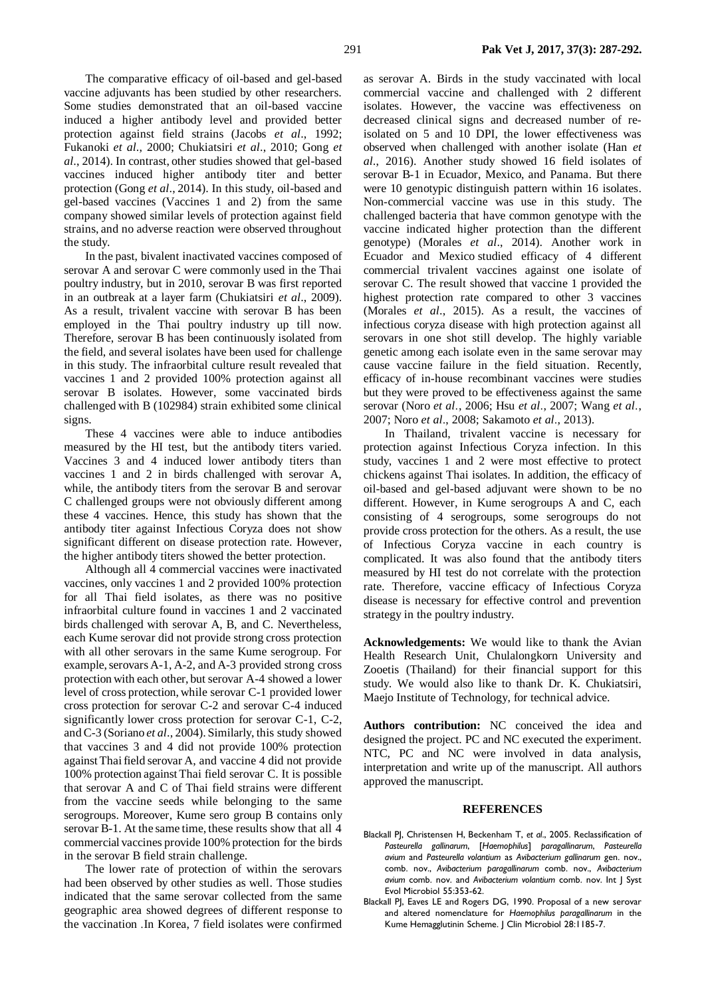The comparative efficacy of oil-based and gel-based vaccine adjuvants has been studied by other researchers. Some studies demonstrated that an oil-based vaccine induced a higher antibody level and provided better protection against field strains (Jacobs *et al*., 1992; Fukanoki *et al*., 2000; Chukiatsiri *et al*., 2010; Gong *et al*., 2014). In contrast, other studies showed that gel-based vaccines induced higher antibody titer and better protection (Gong *et al*., 2014). In this study, oil-based and gel-based vaccines (Vaccines 1 and 2) from the same company showed similar levels of protection against field strains, and no adverse reaction were observed throughout the study.

In the past, bivalent inactivated vaccines composed of serovar A and serovar C were commonly used in the Thai poultry industry, but in 2010, serovar B was first reported in an outbreak at a layer farm (Chukiatsiri *et al*., 2009). As a result, trivalent vaccine with serovar B has been employed in the Thai poultry industry up till now. Therefore, serovar B has been continuously isolated from the field, and several isolates have been used for challenge in this study. The infraorbital culture result revealed that vaccines 1 and 2 provided 100% protection against all serovar B isolates. However, some vaccinated birds challenged with B (102984) strain exhibited some clinical signs.

These 4 vaccines were able to induce antibodies measured by the HI test, but the antibody titers varied. Vaccines 3 and 4 induced lower antibody titers than vaccines 1 and 2 in birds challenged with serovar A, while, the antibody titers from the serovar B and serovar C challenged groups were not obviously different among these 4 vaccines. Hence, this study has shown that the antibody titer against Infectious Coryza does not show significant different on disease protection rate. However, the higher antibody titers showed the better protection.

Although all 4 commercial vaccines were inactivated vaccines, only vaccines 1 and 2 provided 100% protection for all Thai field isolates, as there was no positive infraorbital culture found in vaccines 1 and 2 vaccinated birds challenged with serovar A, B, and C. Nevertheless, each Kume serovar did not provide strong cross protection with all other serovars in the same Kume serogroup. For example, serovars A-1, A-2, and A-3 provided strong cross protection with each other, but serovar A-4 showed a lower level of cross protection, while serovar C-1 provided lower cross protection for serovar C-2 and serovar C-4 induced significantly lower cross protection for serovar C-1, C-2, and C-3 (Soriano *et al*., 2004). Similarly, this study showed that vaccines 3 and 4 did not provide 100% protection against Thai field serovar A, and vaccine 4 did not provide 100% protection against Thai field serovar C. It is possible that serovar A and C of Thai field strains were different from the vaccine seeds while belonging to the same serogroups. Moreover, Kume sero group B contains only serovar B-1. At the same time, these results show that all 4 commercial vaccines provide 100% protection for the birds in the serovar B field strain challenge.

The lower rate of protection of within the serovars had been observed by other studies as well. Those studies indicated that the same serovar collected from the same geographic area showed degrees of different response to the vaccination .In Korea, 7 field isolates were confirmed as serovar A. Birds in the study vaccinated with local commercial vaccine and challenged with 2 different isolates. However, the vaccine was effectiveness on decreased clinical signs and decreased number of reisolated on 5 and 10 DPI, the lower effectiveness was observed when challenged with another isolate (Han *et al*., 2016). Another study showed 16 field isolates of serovar B-1 in Ecuador, Mexico, and Panama. But there were 10 genotypic distinguish pattern within 16 isolates. Non-commercial vaccine was use in this study. The challenged bacteria that have common genotype with the vaccine indicated higher protection than the different genotype) (Morales *et al*., 2014). Another work in Ecuador and Mexico studied efficacy of 4 different commercial trivalent vaccines against one isolate of serovar C. The result showed that vaccine 1 provided the highest protection rate compared to other 3 vaccines (Morales *et al*., 2015). As a result, the vaccines of infectious coryza disease with high protection against all serovars in one shot still develop. The highly variable genetic among each isolate even in the same serovar may cause vaccine failure in the field situation. Recently, efficacy of in-house recombinant vaccines were studies but they were proved to be effectiveness against the same serovar (Noro *et al*., 2006; Hsu *et al*., 2007; Wang *et al*., 2007; Noro *et al*., 2008; Sakamoto *et al*., 2013).

In Thailand, trivalent vaccine is necessary for protection against Infectious Coryza infection. In this study, vaccines 1 and 2 were most effective to protect chickens against Thai isolates. In addition, the efficacy of oil-based and gel-based adjuvant were shown to be no different. However, in Kume serogroups A and C, each consisting of 4 serogroups, some serogroups do not provide cross protection for the others. As a result, the use of Infectious Coryza vaccine in each country is complicated. It was also found that the antibody titers measured by HI test do not correlate with the protection rate. Therefore, vaccine efficacy of Infectious Coryza disease is necessary for effective control and prevention strategy in the poultry industry.

**Acknowledgements:** We would like to thank the Avian Health Research Unit, Chulalongkorn University and Zooetis (Thailand) for their financial support for this study. We would also like to thank Dr. K. Chukiatsiri, Maejo Institute of Technology, for technical advice.

**Authors contribution:** NC conceived the idea and designed the project. PC and NC executed the experiment. NTC, PC and NC were involved in data analysis, interpretation and write up of the manuscript. All authors approved the manuscript.

#### **REFERENCES**

- Blackall PJ, Christensen H, Beckenham T, *et al*., 2005. Reclassification of *Pasteurella gallinarum*, [*Haemophilus*] *paragallinarum*, *Pasteurella avium* and *Pasteurella volantium* as *Avibacterium gallinarum* gen. nov., comb. nov., *Avibacterium paragallinarum* comb. nov., *Avibacterium avium* comb. nov. and *Avibacterium volantium* comb. nov. Int J Syst Evol Microbiol 55:353-62.
- Blackall PJ, Eaves LE and Rogers DG, 1990. Proposal of a new serovar and altered nomenclature for *Haemophilus paragallinarum* in the Kume Hemagglutinin Scheme. J Clin Microbiol 28:1185-7.